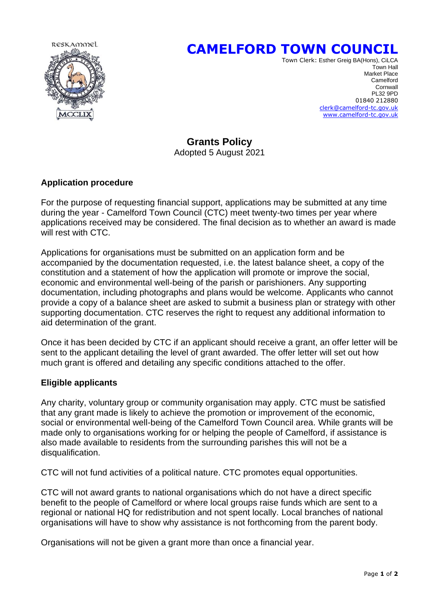

# **CAMELFORD TOWN COUNCIL**

Town Clerk: Esther Greig BA(Hons), CiLCA Town Hall Market Place **Camelford Camelford Cornwall**  PL32 9PD 01840 212880 [clerk@camelford-tc.gov.uk](mailto:clerk@camelford-tc.gov.uk) [www.camelford-tc.gov.uk](http://www.camelfordtown.net/)

## **Grants Policy**

Adopted 5 August 2021

#### **Application procedure**

For the purpose of requesting financial support, applications may be submitted at any time during the year - Camelford Town Council (CTC) meet twenty-two times per year where applications received may be considered. The final decision as to whether an award is made will rest with CTC.

Applications for organisations must be submitted on an application form and be accompanied by the documentation requested, i.e. the latest balance sheet, a copy of the constitution and a statement of how the application will promote or improve the social, economic and environmental well-being of the parish or parishioners. Any supporting documentation, including photographs and plans would be welcome. Applicants who cannot provide a copy of a balance sheet are asked to submit a business plan or strategy with other supporting documentation. CTC reserves the right to request any additional information to aid determination of the grant.

Once it has been decided by CTC if an applicant should receive a grant, an offer letter will be sent to the applicant detailing the level of grant awarded. The offer letter will set out how much grant is offered and detailing any specific conditions attached to the offer.

#### **Eligible applicants**

Any charity, voluntary group or community organisation may apply. CTC must be satisfied that any grant made is likely to achieve the promotion or improvement of the economic, social or environmental well-being of the Camelford Town Council area. While grants will be made only to organisations working for or helping the people of Camelford, if assistance is also made available to residents from the surrounding parishes this will not be a disqualification.

CTC will not fund activities of a political nature. CTC promotes equal opportunities.

CTC will not award grants to national organisations which do not have a direct specific benefit to the people of Camelford or where local groups raise funds which are sent to a regional or national HQ for redistribution and not spent locally. Local branches of national organisations will have to show why assistance is not forthcoming from the parent body.

Organisations will not be given a grant more than once a financial year.